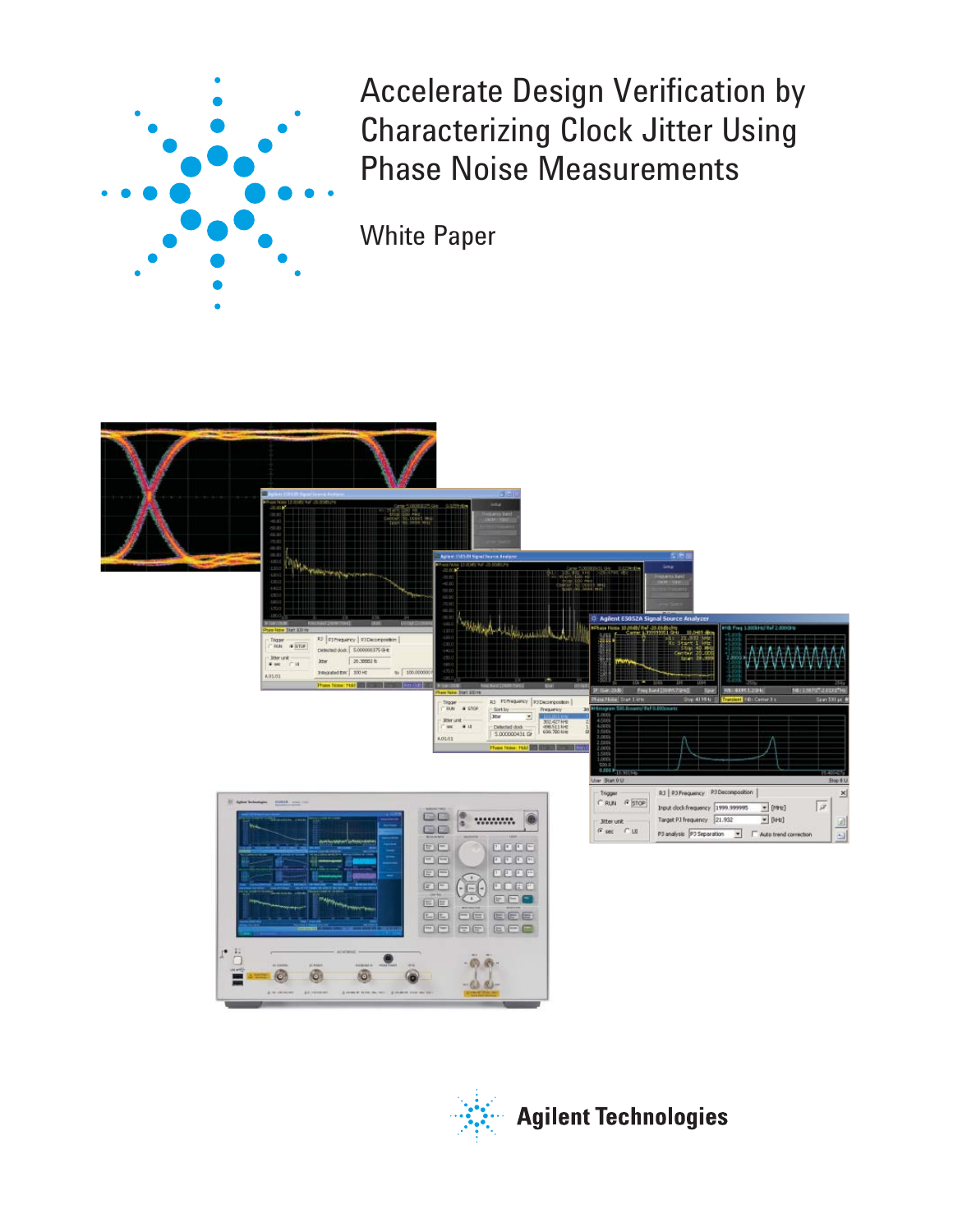

Accelerate Design Verification by Characterizing Clock Jitter Using Phase Noise Measurements

White Paper



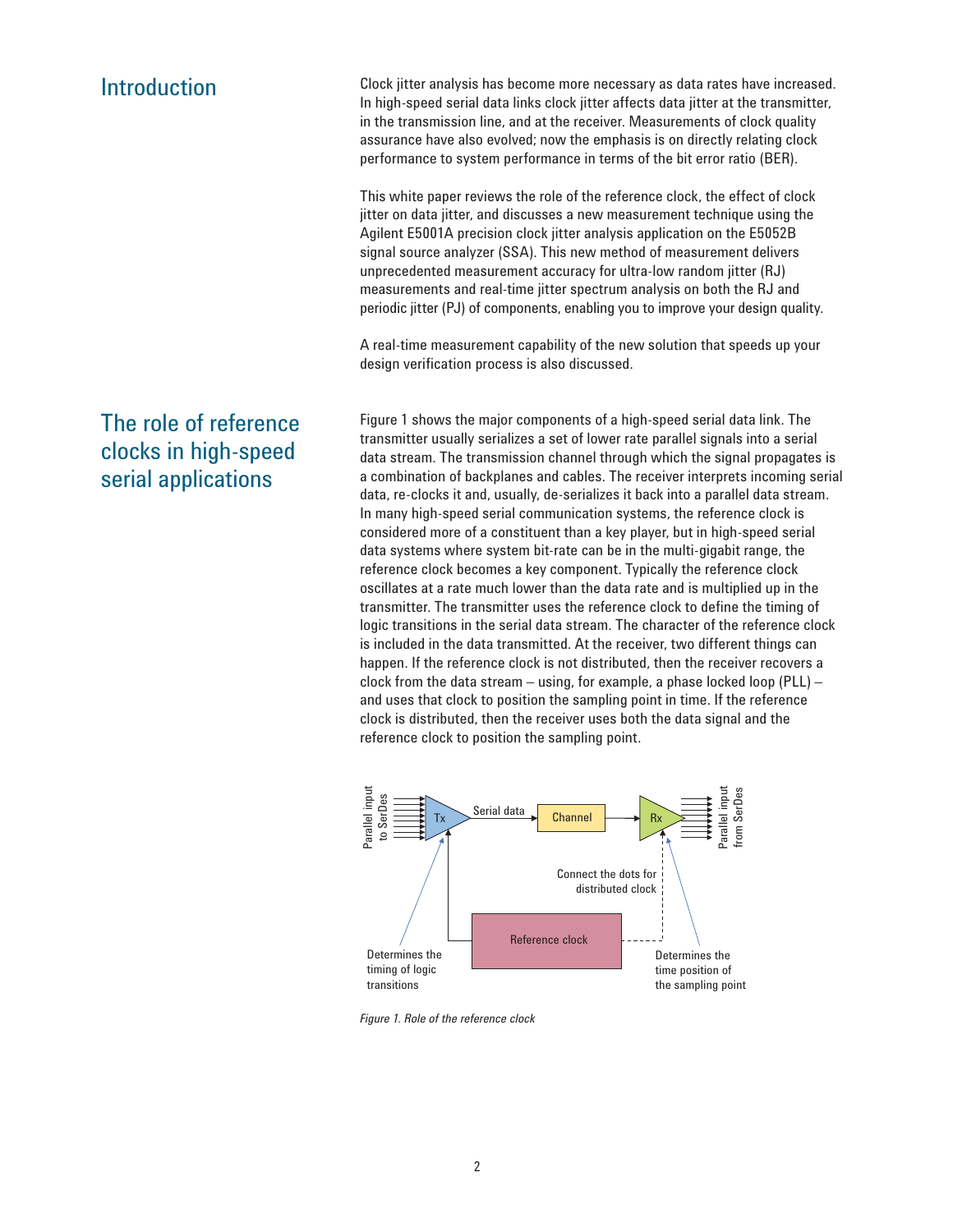### Introduction

Clock jitter analysis has become more necessary as data rates have increased. In high-speed serial data links clock jitter affects data jitter at the transmitter, in the transmission line, and at the receiver. Measurements of clock quality assurance have also evolved; now the emphasis is on directly relating clock performance to system performance in terms of the bit error ratio (BER).

This white paper reviews the role of the reference clock, the effect of clock jitter on data jitter, and discusses a new measurement technique using the Agilent E5001A precision clock jitter analysis application on the E5052B signal source analyzer (SSA). This new method of measurement delivers unprecedented measurement accuracy for ultra-low random jitter (RJ) measurements and real-time jitter spectrum analysis on both the RJ and periodic jitter (PJ) of components, enabling you to improve your design quality.

A real-time measurement capability of the new solution that speeds up your design verification process is also discussed.

Figure 1 shows the major components of a high-speed serial data link. The transmitter usually serializes a set of lower rate parallel signals into a serial data stream. The transmission channel through which the signal propagates is a combination of backplanes and cables. The receiver interprets incoming serial data, re-clocks it and, usually, de-serializes it back into a parallel data stream. In many high-speed serial communication systems, the reference clock is considered more of a constituent than a key player, but in high-speed serial data systems where system bit-rate can be in the multi-gigabit range, the reference clock becomes a key component. Typically the reference clock oscillates at a rate much lower than the data rate and is multiplied up in the transmitter. The transmitter uses the reference clock to define the timing of logic transitions in the serial data stream. The character of the reference clock is included in the data transmitted. At the receiver, two different things can happen. If the reference clock is not distributed, then the receiver recovers a clock from the data stream – using, for example, a phase locked loop (PLL) – and uses that clock to position the sampling point in time. If the reference clock is distributed, then the receiver uses both the data signal and the reference clock to position the sampling point.



*Figure 1. Role of the reference clock*

## The role of reference clocks in high-speed serial applications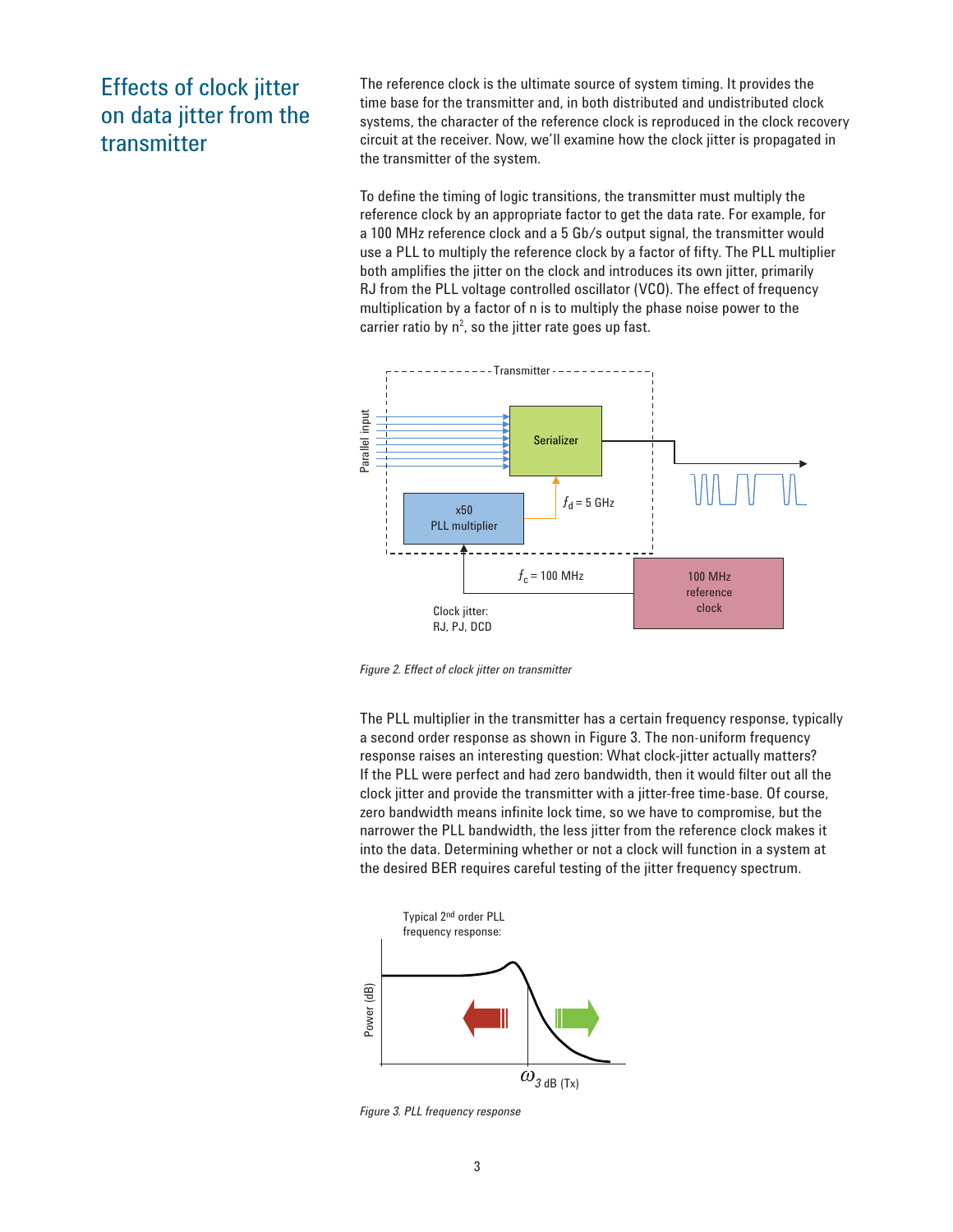## Effects of clock jitter on data jitter from the transmitter

The reference clock is the ultimate source of system timing. It provides the time base for the transmitter and, in both distributed and undistributed clock systems, the character of the reference clock is reproduced in the clock recovery circuit at the receiver. Now, we'll examine how the clock jitter is propagated in the transmitter of the system.

To define the timing of logic transitions, the transmitter must multiply the reference clock by an appropriate factor to get the data rate. For example, for a 100 MHz reference clock and a 5 Gb/s output signal, the transmitter would use a PLL to multiply the reference clock by a factor of fifty. The PLL multiplier both amplifies the jitter on the clock and introduces its own jitter, primarily RJ from the PLL voltage controlled oscillator (VCO). The effect of frequency multiplication by a factor of n is to multiply the phase noise power to the carrier ratio by  $n^2$ , so the jitter rate goes up fast.



*Figure 2. Effect of clock jitter on transmitter*

The PLL multiplier in the transmitter has a certain frequency response, typically a second order response as shown in Figure 3. The non-uniform frequency response raises an interesting question: What clock-jitter actually matters? If the PLL were perfect and had zero bandwidth, then it would filter out all the clock jitter and provide the transmitter with a jitter-free time-base. Of course, zero bandwidth means infinite lock time, so we have to compromise, but the narrower the PLL bandwidth, the less jitter from the reference clock makes it into the data. Determining whether or not a clock will function in a system at the desired BER requires careful testing of the jitter frequency spectrum.



*Figure 3. PLL frequency response*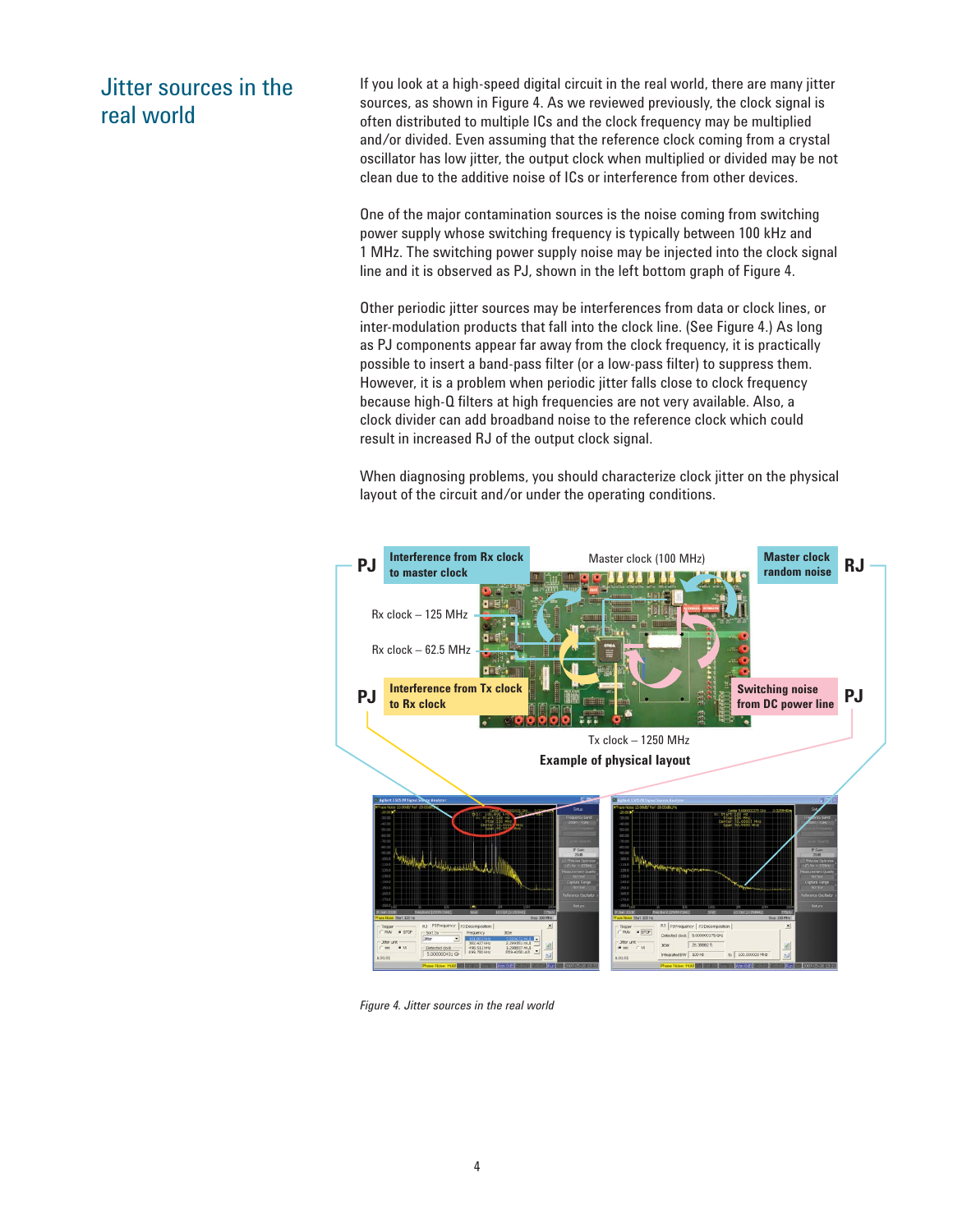## Jitter sources in the real world

If you look at a high-speed digital circuit in the real world, there are many jitter sources, as shown in Figure 4. As we reviewed previously, the clock signal is often distributed to multiple ICs and the clock frequency may be multiplied and/or divided. Even assuming that the reference clock coming from a crystal oscillator has low jitter, the output clock when multiplied or divided may be not clean due to the additive noise of ICs or interference from other devices.

One of the major contamination sources is the noise coming from switching power supply whose switching frequency is typically between 100 kHz and 1 MHz. The switching power supply noise may be injected into the clock signal line and it is observed as PJ, shown in the left bottom graph of Figure 4.

Other periodic jitter sources may be interferences from data or clock lines, or inter-modulation products that fall into the clock line. (See Figure 4.) As long as PJ components appear far away from the clock frequency, it is practically possible to insert a band-pass filter (or a low-pass filter) to suppress them. However, it is a problem when periodic jitter falls close to clock frequency because high-Q filters at high frequencies are not very available. Also, a clock divider can add broadband noise to the reference clock which could result in increased RJ of the output clock signal.

When diagnosing problems, you should characterize clock jitter on the physical layout of the circuit and/or under the operating conditions.



*Figure 4. Jitter sources in the real world*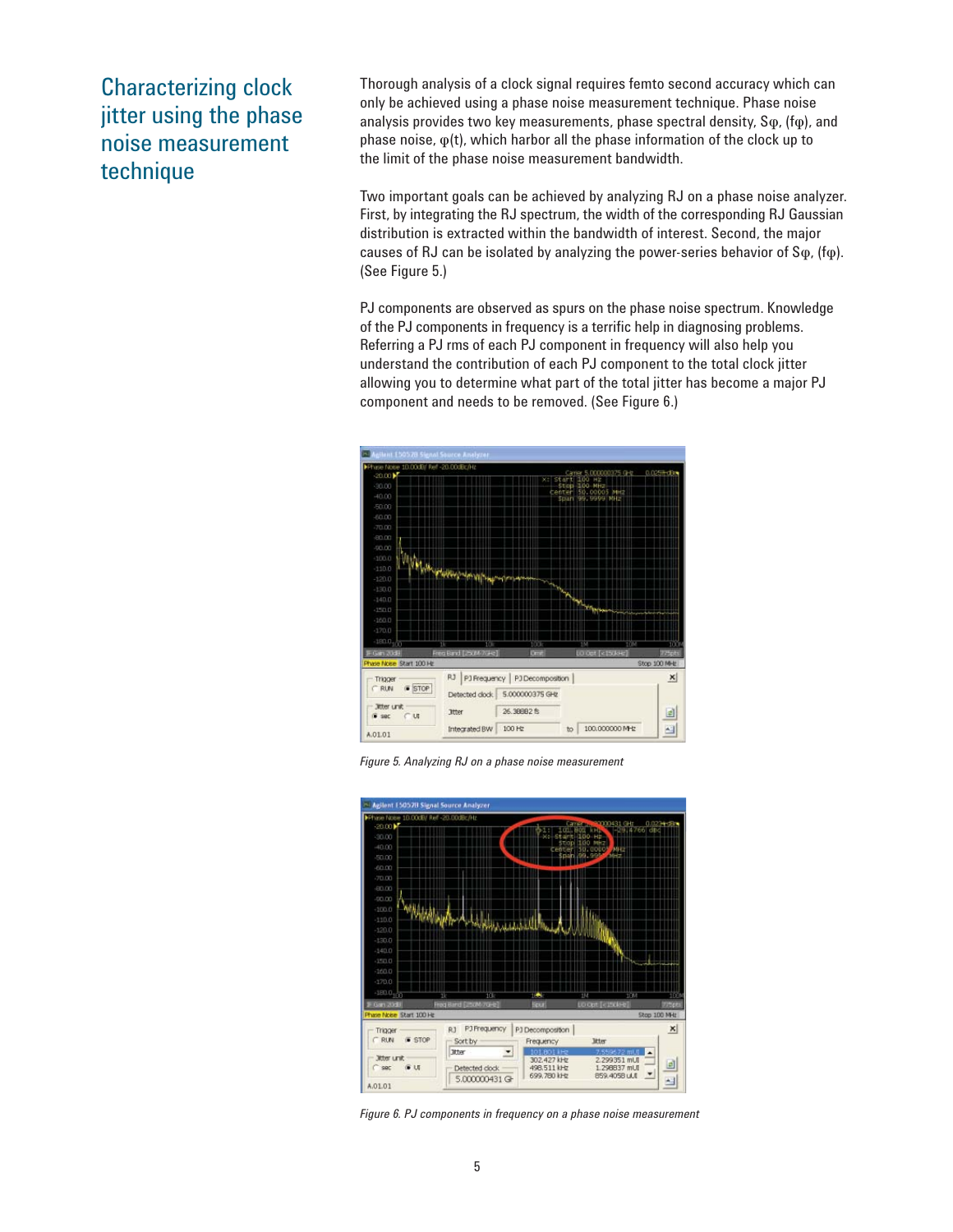## Characterizing clock jitter using the phase noise measurement technique

Thorough analysis of a clock signal requires femto second accuracy which can only be achieved using a phase noise measurement technique. Phase noise analysis provides two key measurements, phase spectral density, Sφ, (fφ), and phase noise,  $\varphi(t)$ , which harbor all the phase information of the clock up to the limit of the phase noise measurement bandwidth.

Two important goals can be achieved by analyzing RJ on a phase noise analyzer. First, by integrating the RJ spectrum, the width of the corresponding RJ Gaussian distribution is extracted within the bandwidth of interest. Second, the major causes of RJ can be isolated by analyzing the power-series behavior of Sφ, (fφ). (See Figure 5.)

PJ components are observed as spurs on the phase noise spectrum. Knowledge of the PJ components in frequency is a terrific help in diagnosing problems. Referring a PJ rms of each PJ component in frequency will also help you understand the contribution of each PJ component to the total clock jitter allowing you to determine what part of the total jitter has become a major PJ component and needs to be removed. (See Figure 6.)



*Figure 5. Analyzing RJ on a phase noise measurement*



*Figure 6. PJ components in frequency on a phase noise measurement*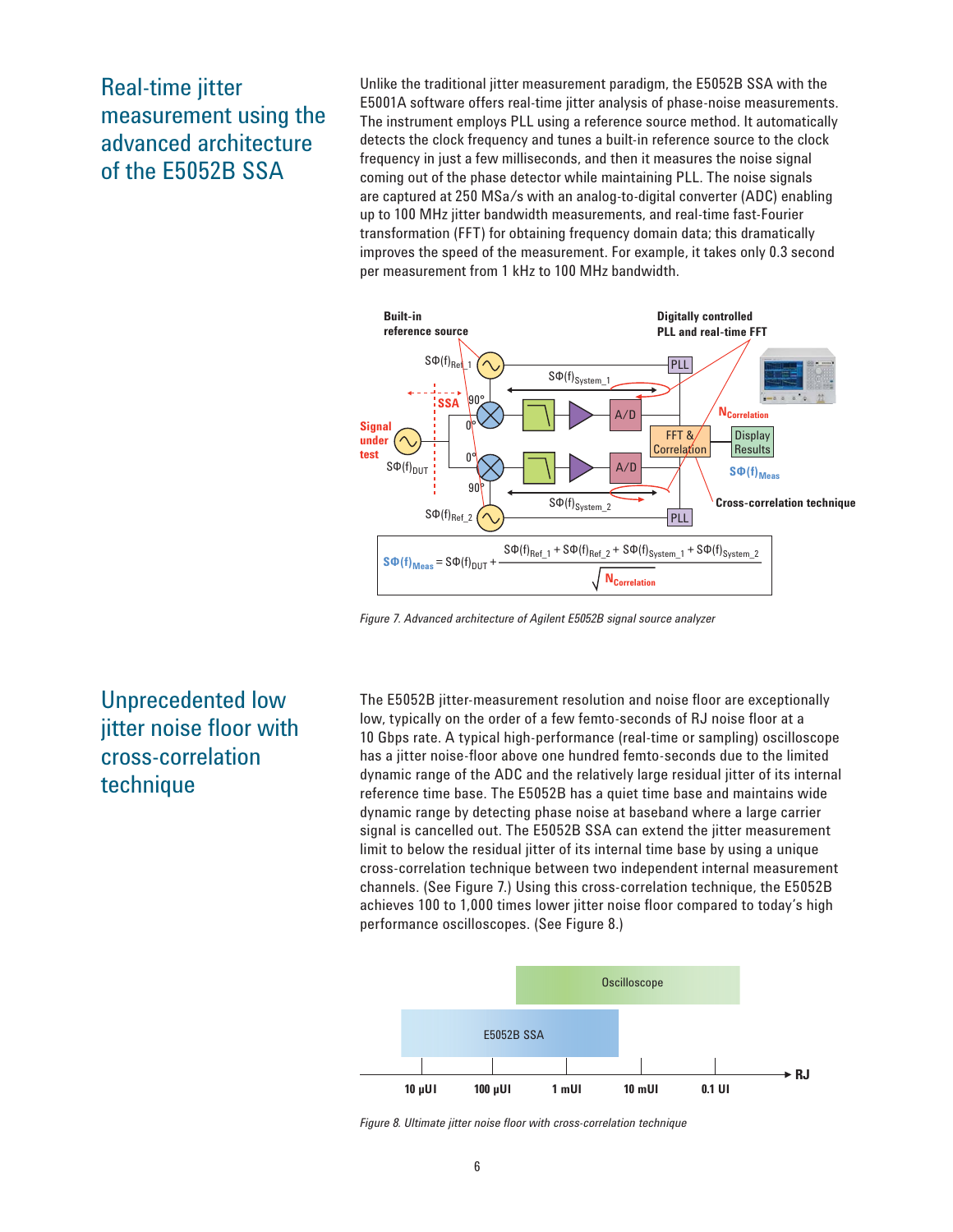Real-time jitter measurement using the advanced architecture of the E5052B SSA

Unlike the traditional jitter measurement paradigm, the E5052B SSA with the E5001A software offers real-time jitter analysis of phase-noise measurements. The instrument employs PLL using a reference source method. It automatically detects the clock frequency and tunes a built-in reference source to the clock frequency in just a few milliseconds, and then it measures the noise signal coming out of the phase detector while maintaining PLL. The noise signals are captured at 250 MSa/s with an analog-to-digital converter (ADC) enabling up to 100 MHz jitter bandwidth measurements, and real-time fast-Fourier transformation (FFT) for obtaining frequency domain data; this dramatically improves the speed of the measurement. For example, it takes only 0.3 second per measurement from 1 kHz to 100 MHz bandwidth.



*Figure 7. Advanced architecture of Agilent E5052B signal source analyzer*

## Unprecedented low jitter noise floor with cross-correlation technique

The E5052B jitter-measurement resolution and noise floor are exceptionally low, typically on the order of a few femto-seconds of RJ noise floor at a 10 Gbps rate. A typical high-performance (real-time or sampling) oscilloscope has a jitter noise-floor above one hundred femto-seconds due to the limited dynamic range of the ADC and the relatively large residual jitter of its internal reference time base. The E5052B has a quiet time base and maintains wide dynamic range by detecting phase noise at baseband where a large carrier signal is cancelled out. The E5052B SSA can extend the jitter measurement limit to below the residual jitter of its internal time base by using a unique cross-correlation technique between two independent internal measurement channels. (See Figure 7.) Using this cross-correlation technique, the E5052B achieves 100 to 1,000 times lower jitter noise floor compared to today's high performance oscilloscopes. (See Figure 8.)



Figure 8. Ultimate jitter noise floor with cross-correlation technique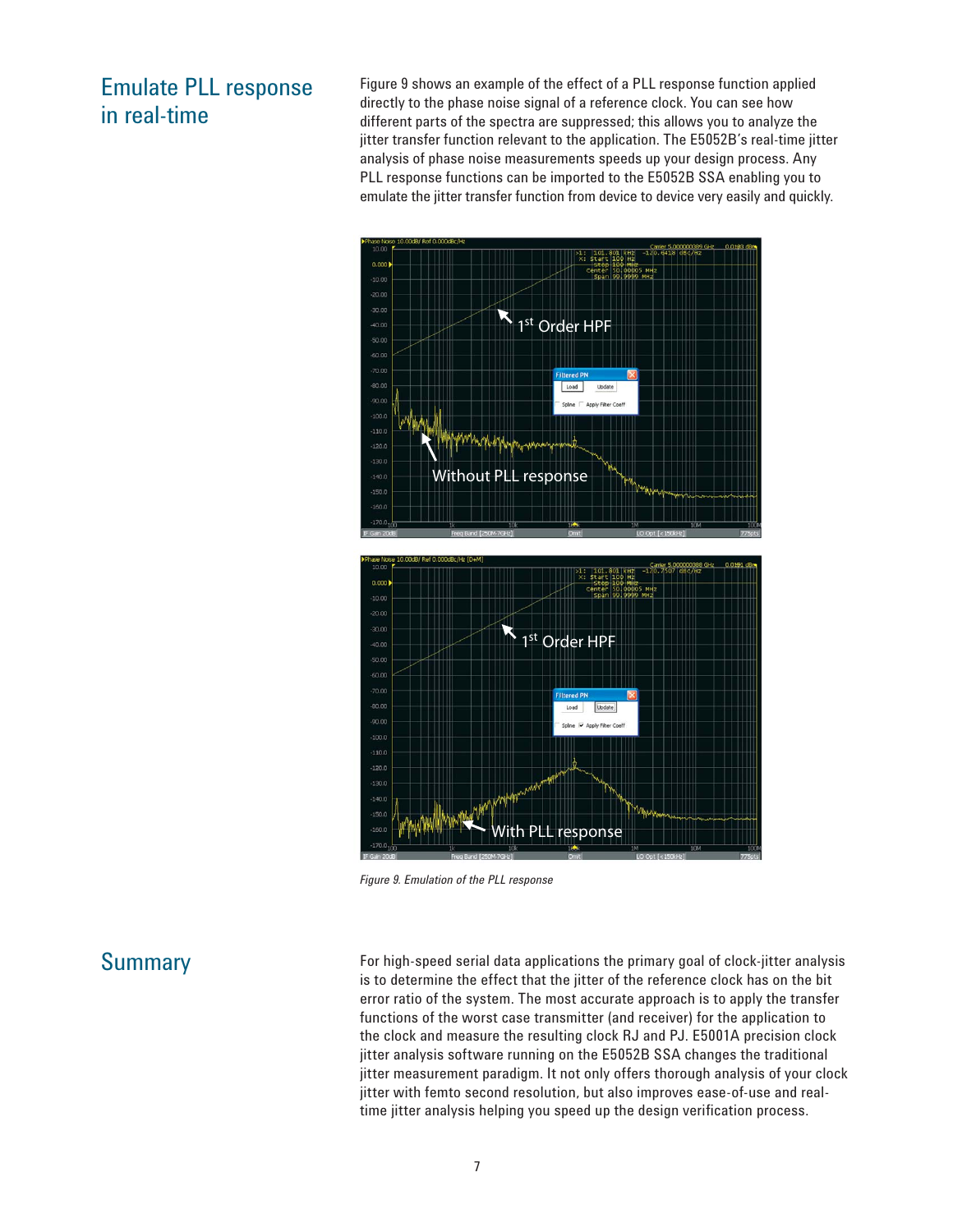### Emulate PLL response in real-time

Figure 9 shows an example of the effect of a PLL response function applied directly to the phase noise signal of a reference clock. You can see how different parts of the spectra are suppressed; this allows you to analyze the jitter transfer function relevant to the application. The E5052B's real-time jitter analysis of phase noise measurements speeds up your design process. Any PLL response functions can be imported to the E5052B SSA enabling you to emulate the jitter transfer function from device to device very easily and quickly.



*Figure 9. Emulation of the PLL response*

### **Summary**

For high-speed serial data applications the primary goal of clock-jitter analysis is to determine the effect that the jitter of the reference clock has on the bit error ratio of the system. The most accurate approach is to apply the transfer functions of the worst case transmitter (and receiver) for the application to the clock and measure the resulting clock RJ and PJ. E5001A precision clock jitter analysis software running on the E5052B SSA changes the traditional jitter measurement paradigm. It not only offers thorough analysis of your clock jitter with femto second resolution, but also improves ease-of-use and realtime jitter analysis helping you speed up the design verification process.